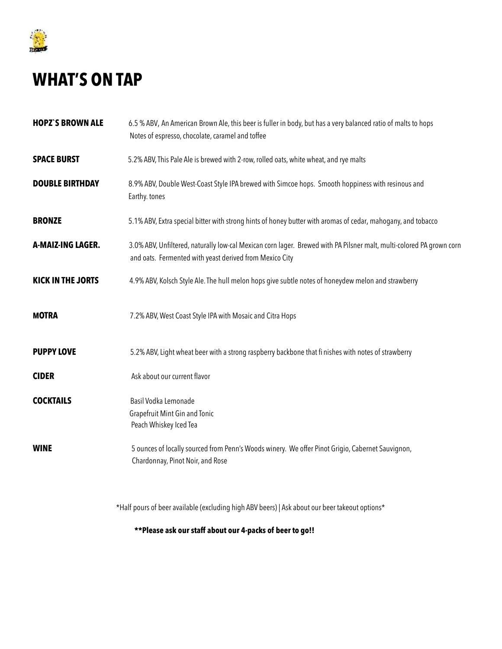

## **WHAT'S ON TAP**

- **HOPZ`S BROWN ALE** 6.5 % ABV, An American Brown Ale, this beer is fuller in body, but has a very balanced ratio of malts to hops Notes of espresso, chocolate, caramel and toffee
- **SPACE BURST** 5.2% ABV, This Pale Ale is brewed with 2-row, rolled oats, white wheat, and rye malts
- **DOUBLE BIRTHDAY** 8.9% ABV, Double West-Coast Style IPA brewed with Simcoe hops. Smooth hoppiness with resinous and Earthy. tones
- **BRONZE** 5.1% ABV, Extra special bitter with strong hints of honey butter with aromas of cedar, mahogany, and tobacco
- A-MAIZ-ING LAGER. 3.0% ABV, Unfiltered, naturally low-cal Mexican corn lager. Brewed with PA Pilsner malt, multi-colored PA grown corn and oats. Fermented with yeast derived from Mexico City
- **KICK IN THE JORTS** 4.9% ABV, Kolsch Style Ale. The hull melon hops give subtle notes of honeydew melon and strawberry
- **MOTRA** 7.2% ABV, West Coast Style IPA with Mosaic and Citra Hops
- **PUPPY LOVE** 5.2% ABV, Light wheat beer with a strong raspberry backbone that finishes with notes of strawberry
- **CIDER** Ask about our current flavor
- **COCKTAILS** Basil Vodka Lemonade Grapefruit Mint Gin and Tonic Peach Whiskey Iced Tea
- WINE **WINE** 5 ounces of locally sourced from Penn's Woods winery. We offer Pinot Grigio, Cabernet Sauvignon, Chardonnay, Pinot Noir, and Rose

\*Half pours of beer available (excluding high ABV beers) | Ask about our beer takeout options\*

 **\*\*Please ask our staff about our 4-packs of beer to go!!**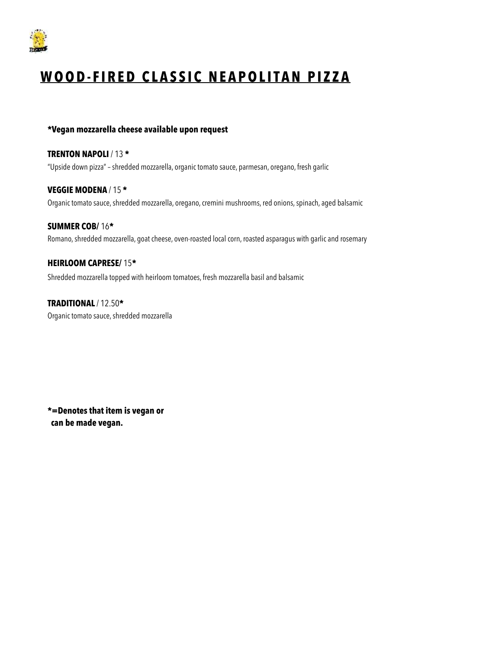

# **WOOD-FIRED CLASSIC NEAPOLITAN PIZZA**

### **\*Vegan mozzarella cheese available upon request**

**TRENTON NAPOLI** / 13 **\*** "Upside down pizza" – shredded mozzarella, organic tomato sauce, parmesan, oregano, fresh garlic

**VEGGIE MODENA** / 15 **\***  Organic tomato sauce, shredded mozzarella, oregano, cremini mushrooms, red onions, spinach, aged balsamic

**SUMMER COB/** 16**\***  Romano, shredded mozzarella, goat cheese, oven-roasted local corn, roasted asparagus with garlic and rosemary

**HEIRLOOM CAPRESE/** 15**\***

Shredded mozzarella topped with heirloom tomatoes, fresh mozzarella basil and balsamic

**TRADITIONAL** / 12.50**\***  Organic tomato sauce, shredded mozzarella

**\*=Denotes that item is vegan or can be made vegan.**